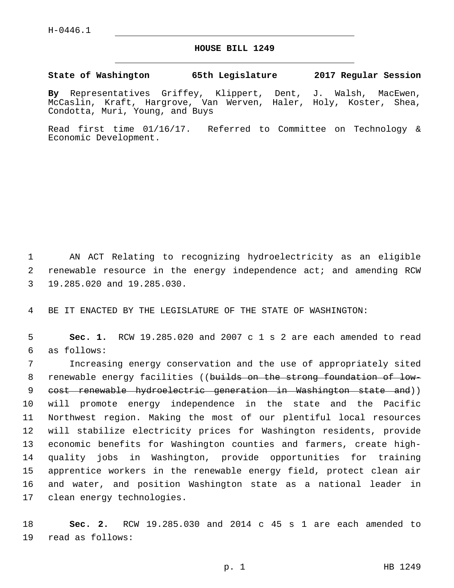## **HOUSE BILL 1249**

**State of Washington 65th Legislature 2017 Regular Session**

**By** Representatives Griffey, Klippert, Dent, J. Walsh, MacEwen, McCaslin, Kraft, Hargrove, Van Werven, Haler, Holy, Koster, Shea, Condotta, Muri, Young, and Buys

Read first time 01/16/17. Referred to Committee on Technology & Economic Development.

1 AN ACT Relating to recognizing hydroelectricity as an eligible 2 renewable resource in the energy independence act; and amending RCW 3 19.285.020 and 19.285.030.

4 BE IT ENACTED BY THE LEGISLATURE OF THE STATE OF WASHINGTON:

5 **Sec. 1.** RCW 19.285.020 and 2007 c 1 s 2 are each amended to read as follows:6

 Increasing energy conservation and the use of appropriately sited 8 renewable energy facilities ((builds on the strong foundation of low- cost renewable hydroelectric generation in Washington state and)) will promote energy independence in the state and the Pacific Northwest region. Making the most of our plentiful local resources will stabilize electricity prices for Washington residents, provide economic benefits for Washington counties and farmers, create high- quality jobs in Washington, provide opportunities for training apprentice workers in the renewable energy field, protect clean air and water, and position Washington state as a national leader in 17 clean energy technologies.

18 **Sec. 2.** RCW 19.285.030 and 2014 c 45 s 1 are each amended to 19 read as follows: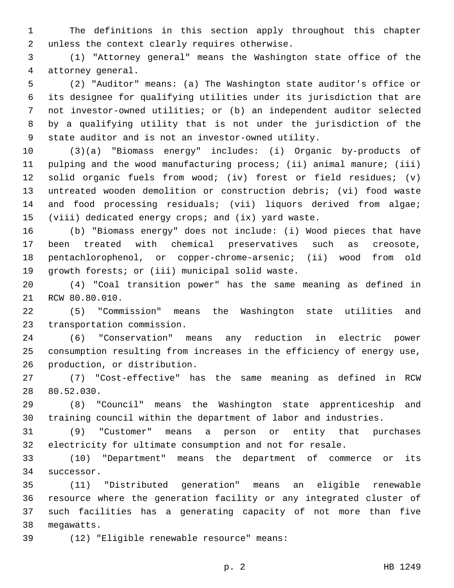The definitions in this section apply throughout this chapter 2 unless the context clearly requires otherwise.

 (1) "Attorney general" means the Washington state office of the 4 attorney general.

 (2) "Auditor" means: (a) The Washington state auditor's office or its designee for qualifying utilities under its jurisdiction that are not investor-owned utilities; or (b) an independent auditor selected by a qualifying utility that is not under the jurisdiction of the state auditor and is not an investor-owned utility.

 (3)(a) "Biomass energy" includes: (i) Organic by-products of pulping and the wood manufacturing process; (ii) animal manure; (iii) solid organic fuels from wood; (iv) forest or field residues; (v) untreated wooden demolition or construction debris; (vi) food waste and food processing residuals; (vii) liquors derived from algae; (viii) dedicated energy crops; and (ix) yard waste.

 (b) "Biomass energy" does not include: (i) Wood pieces that have been treated with chemical preservatives such as creosote, pentachlorophenol, or copper-chrome-arsenic; (ii) wood from old 19 growth forests; or (iii) municipal solid waste.

 (4) "Coal transition power" has the same meaning as defined in 21 RCW 80.80.010.

 (5) "Commission" means the Washington state utilities and 23 transportation commission.

 (6) "Conservation" means any reduction in electric power consumption resulting from increases in the efficiency of energy use, 26 production, or distribution.

 (7) "Cost-effective" has the same meaning as defined in RCW 28 80.52.030.

 (8) "Council" means the Washington state apprenticeship and training council within the department of labor and industries.

 (9) "Customer" means a person or entity that purchases electricity for ultimate consumption and not for resale.

 (10) "Department" means the department of commerce or its 34 successor.

 (11) "Distributed generation" means an eligible renewable resource where the generation facility or any integrated cluster of such facilities has a generating capacity of not more than five 38 megawatts.

(12) "Eligible renewable resource" means:39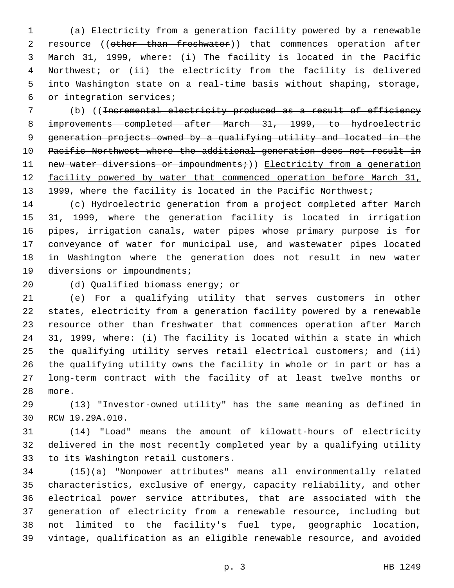(a) Electricity from a generation facility powered by a renewable 2 resource ((other than freshwater)) that commences operation after March 31, 1999, where: (i) The facility is located in the Pacific Northwest; or (ii) the electricity from the facility is delivered into Washington state on a real-time basis without shaping, storage, 6 or integration services;

 (b) ((Incremental electricity produced as a result of efficiency improvements completed after March 31, 1999, to hydroelectric generation projects owned by a qualifying utility and located in the Pacific Northwest where the additional generation does not result in 11 new water diversions or impoundments;)) Electricity from a generation 12 facility powered by water that commenced operation before March 31, 13 1999, where the facility is located in the Pacific Northwest;

 (c) Hydroelectric generation from a project completed after March 31, 1999, where the generation facility is located in irrigation pipes, irrigation canals, water pipes whose primary purpose is for conveyance of water for municipal use, and wastewater pipes located in Washington where the generation does not result in new water 19 diversions or impoundments;

20 (d) Qualified biomass energy; or

 (e) For a qualifying utility that serves customers in other states, electricity from a generation facility powered by a renewable resource other than freshwater that commences operation after March 31, 1999, where: (i) The facility is located within a state in which the qualifying utility serves retail electrical customers; and (ii) the qualifying utility owns the facility in whole or in part or has a long-term contract with the facility of at least twelve months or 28 more.

 (13) "Investor-owned utility" has the same meaning as defined in 30 RCW 19.29A.010.

 (14) "Load" means the amount of kilowatt-hours of electricity delivered in the most recently completed year by a qualifying utility 33 to its Washington retail customers.

 (15)(a) "Nonpower attributes" means all environmentally related characteristics, exclusive of energy, capacity reliability, and other electrical power service attributes, that are associated with the generation of electricity from a renewable resource, including but not limited to the facility's fuel type, geographic location, vintage, qualification as an eligible renewable resource, and avoided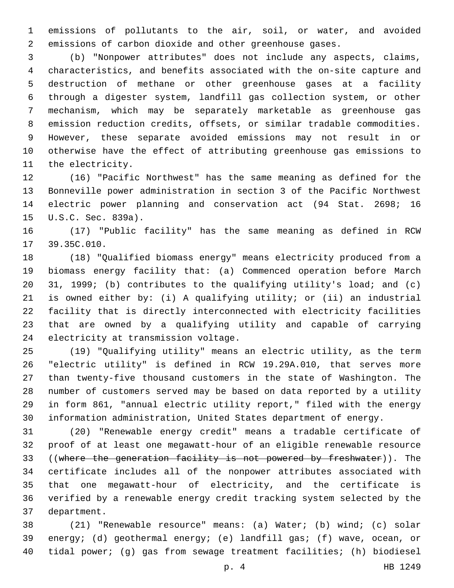emissions of pollutants to the air, soil, or water, and avoided emissions of carbon dioxide and other greenhouse gases.

 (b) "Nonpower attributes" does not include any aspects, claims, characteristics, and benefits associated with the on-site capture and destruction of methane or other greenhouse gases at a facility through a digester system, landfill gas collection system, or other mechanism, which may be separately marketable as greenhouse gas emission reduction credits, offsets, or similar tradable commodities. However, these separate avoided emissions may not result in or otherwise have the effect of attributing greenhouse gas emissions to 11 the electricity.

 (16) "Pacific Northwest" has the same meaning as defined for the Bonneville power administration in section 3 of the Pacific Northwest electric power planning and conservation act (94 Stat. 2698; 16 15 U.S.C. Sec. 839a).

 (17) "Public facility" has the same meaning as defined in RCW 17 39.35C.010.

 (18) "Qualified biomass energy" means electricity produced from a biomass energy facility that: (a) Commenced operation before March 31, 1999; (b) contributes to the qualifying utility's load; and (c) is owned either by: (i) A qualifying utility; or (ii) an industrial facility that is directly interconnected with electricity facilities that are owned by a qualifying utility and capable of carrying 24 electricity at transmission voltage.

 (19) "Qualifying utility" means an electric utility, as the term "electric utility" is defined in RCW 19.29A.010, that serves more than twenty-five thousand customers in the state of Washington. The number of customers served may be based on data reported by a utility in form 861, "annual electric utility report," filed with the energy information administration, United States department of energy.

 (20) "Renewable energy credit" means a tradable certificate of proof of at least one megawatt-hour of an eligible renewable resource ((where the generation facility is not powered by freshwater)). The certificate includes all of the nonpower attributes associated with that one megawatt-hour of electricity, and the certificate is verified by a renewable energy credit tracking system selected by the 37 department.

 (21) "Renewable resource" means: (a) Water; (b) wind; (c) solar energy; (d) geothermal energy; (e) landfill gas; (f) wave, ocean, or tidal power; (g) gas from sewage treatment facilities; (h) biodiesel